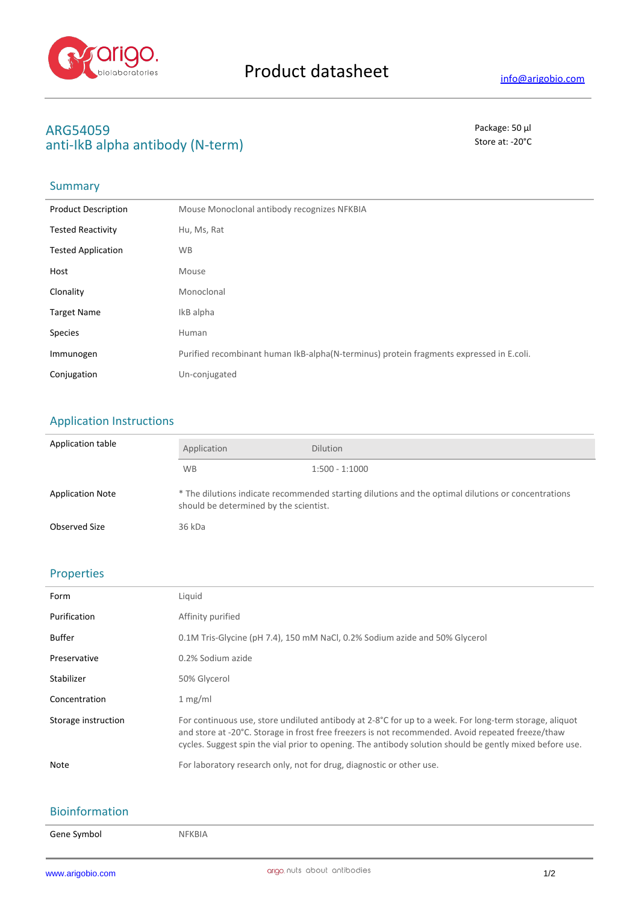

# **ARG54059** Package: 50 μl anti-IkB alpha antibody (N-term) Store at: -20<sup>°</sup>C

## Summary

| <b>Product Description</b> | Mouse Monoclonal antibody recognizes NFKBIA                                             |
|----------------------------|-----------------------------------------------------------------------------------------|
| <b>Tested Reactivity</b>   | Hu, Ms, Rat                                                                             |
| <b>Tested Application</b>  | <b>WB</b>                                                                               |
| Host                       | Mouse                                                                                   |
| Clonality                  | Monoclonal                                                                              |
| <b>Target Name</b>         | IkB alpha                                                                               |
| <b>Species</b>             | Human                                                                                   |
| Immunogen                  | Purified recombinant human IkB-alpha(N-terminus) protein fragments expressed in E.coli. |
| Conjugation                | Un-conjugated                                                                           |

### Application Instructions

| Application table       | Application                                                                                                                                   | <b>Dilution</b>  |
|-------------------------|-----------------------------------------------------------------------------------------------------------------------------------------------|------------------|
|                         | <b>WB</b>                                                                                                                                     | $1:500 - 1:1000$ |
| <b>Application Note</b> | * The dilutions indicate recommended starting dilutions and the optimal dilutions or concentrations<br>should be determined by the scientist. |                  |
| Observed Size           | 36 kDa                                                                                                                                        |                  |

### Properties

| Form                | Liquid                                                                                                                                                                                                                                                                                                                           |
|---------------------|----------------------------------------------------------------------------------------------------------------------------------------------------------------------------------------------------------------------------------------------------------------------------------------------------------------------------------|
| Purification        | Affinity purified                                                                                                                                                                                                                                                                                                                |
| <b>Buffer</b>       | 0.1M Tris-Glycine (pH 7.4), 150 mM NaCl, 0.2% Sodium azide and 50% Glycerol                                                                                                                                                                                                                                                      |
| Preservative        | 0.2% Sodium azide                                                                                                                                                                                                                                                                                                                |
| Stabilizer          | 50% Glycerol                                                                                                                                                                                                                                                                                                                     |
| Concentration       | 1 mg/ml                                                                                                                                                                                                                                                                                                                          |
| Storage instruction | For continuous use, store undiluted antibody at $2-8^{\circ}C$ for up to a week. For long-term storage, aliquot<br>and store at -20°C. Storage in frost free freezers is not recommended. Avoid repeated freeze/thaw<br>cycles. Suggest spin the vial prior to opening. The antibody solution should be gently mixed before use. |
| Note                | For laboratory research only, not for drug, diagnostic or other use.                                                                                                                                                                                                                                                             |

### Bioinformation